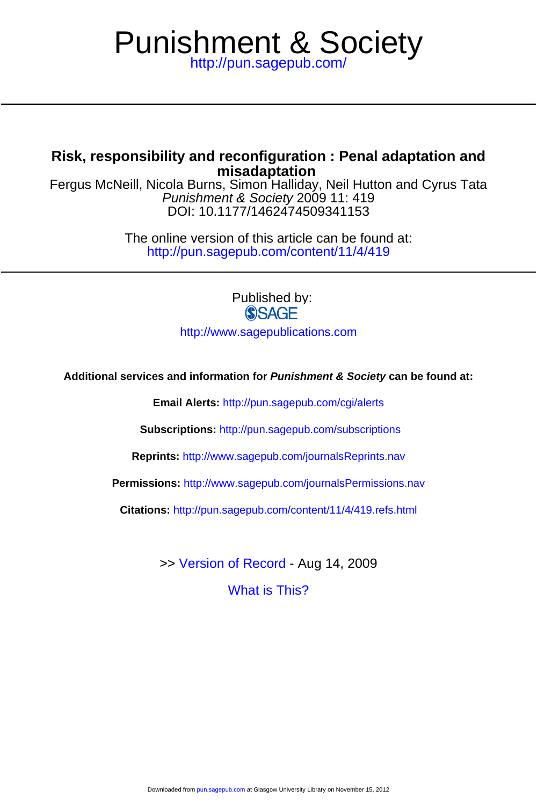# <http://pun.sagepub.com/> Punishment & Society

# **misadaptation Risk, responsibility and reconfiguration : Penal adaptation and**

DOI: 10.1177/1462474509341153 Punishment & Society 2009 11: 419 Fergus McNeill, Nicola Burns, Simon Halliday, Neil Hutton and Cyrus Tata

> <http://pun.sagepub.com/content/11/4/419> The online version of this article can be found at:

> > Published by: **SSAGE**

<http://www.sagepublications.com>

**Additional services and information for Punishment & Society can be found at:**

**Email Alerts:** <http://pun.sagepub.com/cgi/alerts>

**Subscriptions:** <http://pun.sagepub.com/subscriptions>

**Reprints:** <http://www.sagepub.com/journalsReprints.nav>

**Permissions:** <http://www.sagepub.com/journalsPermissions.nav>

**Citations:** <http://pun.sagepub.com/content/11/4/419.refs.html>

>> [Version of Record -](http://pun.sagepub.com/content/11/4/419.full.pdf) Aug 14, 2009

[What is This?](http://online.sagepub.com/site/sphelp/vorhelp.xhtml)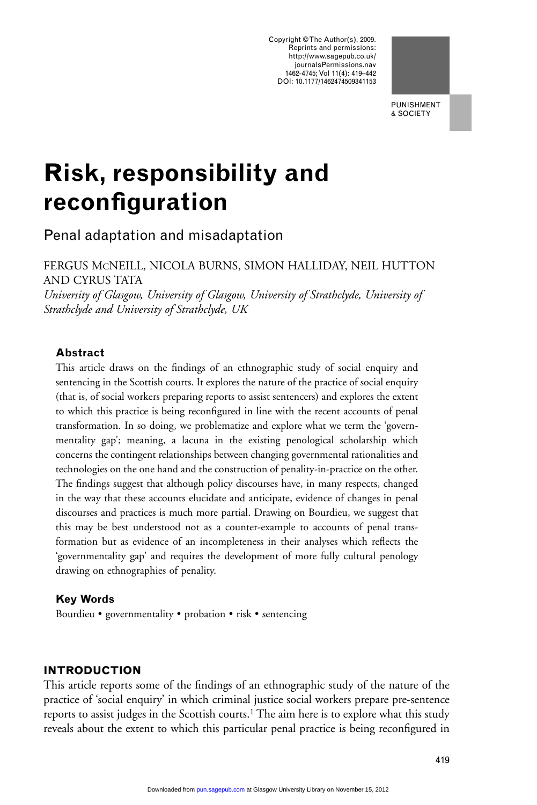Copyright © The Author(s), 2009. Reprints and permissions: http://www.sagepub.co.uk/ journalsPermissions.nav 1462-4745; Vol 11(4): 419–442 DOI: 10.1177/1462474509341153



& SOCIETY

# **Risk, responsibility and reconfiguration**

Penal adaptation and misadaptation

FERGUS MCNEILL, NICOLA BURNS, SIMON HALLIDAY, NEIL HUTTON AND CYRUS TATA

*University of Glasgow, University of Glasgow, University of Strathclyde, University of Strathclyde and University of Strathclyde, UK*

# **Abstract**

This article draws on the findings of an ethnographic study of social enquiry and sentencing in the Scottish courts. It explores the nature of the practice of social enquiry (that is, of social workers preparing reports to assist sentencers) and explores the extent to which this practice is being reconfigured in line with the recent accounts of penal transformation. In so doing, we problematize and explore what we term the 'governmentality gap'; meaning, a lacuna in the existing penological scholarship which concerns the contingent relationships between changing governmental rationalities and technologies on the one hand and the construction of penality-in-practice on the other. The findings suggest that although policy discourses have, in many respects, changed in the way that these accounts elucidate and anticipate, evidence of changes in penal discourses and practices is much more partial. Drawing on Bourdieu, we suggest that this may be best understood not as a counter-example to accounts of penal transformation but as evidence of an incompleteness in their analyses which reflects the 'governmentality gap' and requires the development of more fully cultural penology drawing on ethnographies of penality.

# **Key Words**

Bourdieu • governmentality • probation • risk • sentencing

# **INTRODUCTION**

This article reports some of the findings of an ethnographic study of the nature of the practice of 'social enquiry' in which criminal justice social workers prepare pre-sentence reports to assist judges in the Scottish courts.1 The aim here is to explore what this study reveals about the extent to which this particular penal practice is being reconfigured in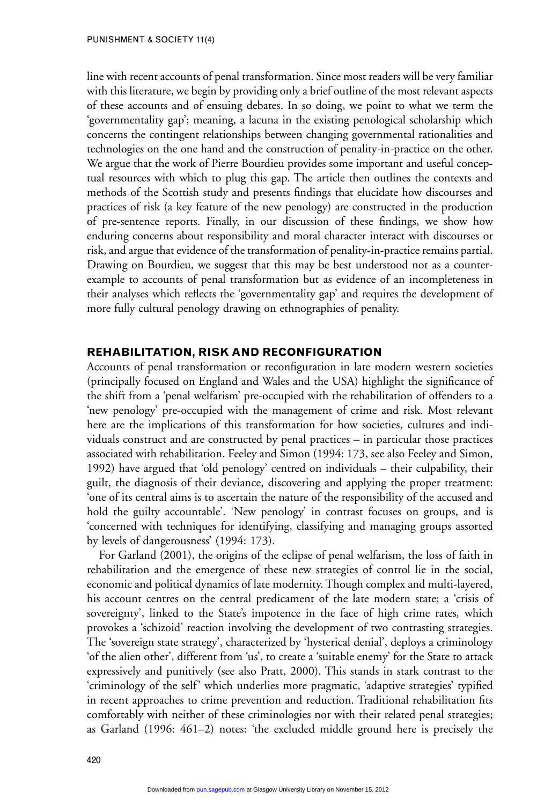line with recent accounts of penal transformation. Since most readers will be very familiar with this literature, we begin by providing only a brief outline of the most relevant aspects of these accounts and of ensuing debates. In so doing, we point to what we term the 'governmentality gap'; meaning, a lacuna in the existing penological scholarship which concerns the contingent relationships between changing governmental rationalities and technologies on the one hand and the construction of penality-in-practice on the other. We argue that the work of Pierre Bourdieu provides some important and useful conceptual resources with which to plug this gap. The article then outlines the contexts and methods of the Scottish study and presents findings that elucidate how discourses and practices of risk (a key feature of the new penology) are constructed in the production of pre-sentence reports. Finally, in our discussion of these findings, we show how enduring concerns about responsibility and moral character interact with discourses or risk, and argue that evidence of the transformation of penality-in-practice remains partial. Drawing on Bourdieu, we suggest that this may be best understood not as a counterexample to accounts of penal transformation but as evidence of an incompleteness in their analyses which reflects the 'governmentality gap' and requires the development of more fully cultural penology drawing on ethnographies of penality.

### **REHABILITATION, RISK AND RECONFIGURATION**

Accounts of penal transformation or reconfiguration in late modern western societies (principally focused on England and Wales and the USA) highlight the significance of the shift from a 'penal welfarism' pre-occupied with the rehabilitation of offenders to a 'new penology' pre-occupied with the management of crime and risk. Most relevant here are the implications of this transformation for how societies, cultures and individuals construct and are constructed by penal practices – in particular those practices associated with rehabilitation. Feeley and Simon (1994: 173, see also Feeley and Simon, 1992) have argued that 'old penology' centred on individuals – their culpability, their guilt, the diagnosis of their deviance, discovering and applying the proper treatment: 'one of its central aims is to ascertain the nature of the responsibility of the accused and hold the guilty accountable'. 'New penology' in contrast focuses on groups, and is 'concerned with techniques for identifying, classifying and managing groups assorted by levels of dangerousness' (1994: 173).

For Garland (2001), the origins of the eclipse of penal welfarism, the loss of faith in rehabilitation and the emergence of these new strategies of control lie in the social, economic and political dynamics of late modernity. Though complex and multi-layered, his account centres on the central predicament of the late modern state; a 'crisis of sovereignty', linked to the State's impotence in the face of high crime rates*,* which provokes a 'schizoid' reaction involving the development of two contrasting strategies. The 'sovereign state strategy', characterized by 'hysterical denial', deploys a criminology 'of the alien other', different from 'us', to create a 'suitable enemy' for the State to attack expressively and punitively (see also Pratt, 2000). This stands in stark contrast to the 'criminology of the self' which underlies more pragmatic, 'adaptive strategies' typified in recent approaches to crime prevention and reduction. Traditional rehabilitation fits comfortably with neither of these criminologies nor with their related penal strategies; as Garland (1996: 461–2) notes: 'the excluded middle ground here is precisely the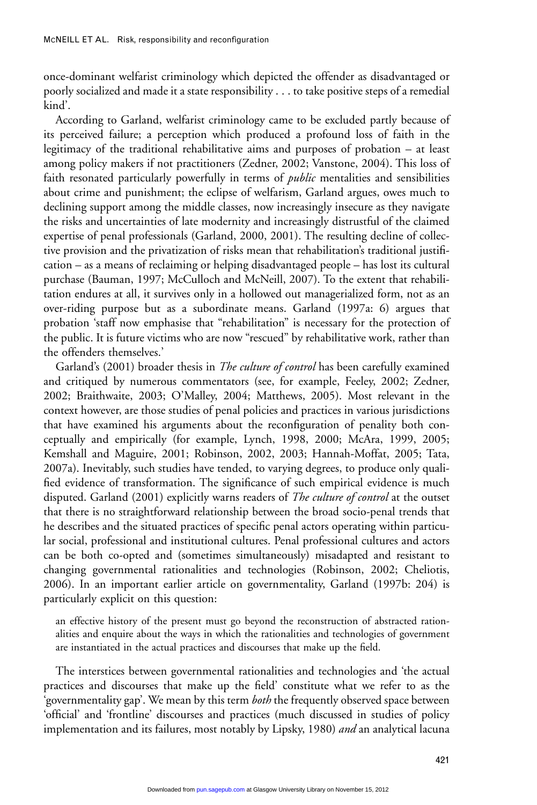once-dominant welfarist criminology which depicted the offender as disadvantaged or poorly socialized and made it a state responsibility . . . to take positive steps of a remedial kind'.

According to Garland, welfarist criminology came to be excluded partly because of its perceived failure; a perception which produced a profound loss of faith in the legitimacy of the traditional rehabilitative aims and purposes of probation – at least among policy makers if not practitioners (Zedner, 2002; Vanstone, 2004). This loss of faith resonated particularly powerfully in terms of *public* mentalities and sensibilities about crime and punishment; the eclipse of welfarism, Garland argues, owes much to declining support among the middle classes, now increasingly insecure as they navigate the risks and uncertainties of late modernity and increasingly distrustful of the claimed expertise of penal professionals (Garland, 2000, 2001). The resulting decline of collective provision and the privatization of risks mean that rehabilitation's traditional justification – as a means of reclaiming or helping disadvantaged people – has lost its cultural purchase (Bauman, 1997; McCulloch and McNeill, 2007). To the extent that rehabilitation endures at all, it survives only in a hollowed out managerialized form, not as an over-riding purpose but as a subordinate means. Garland (1997a: 6) argues that probation 'staff now emphasise that "rehabilitation" is necessary for the protection of the public. It is future victims who are now "rescued" by rehabilitative work, rather than the offenders themselves.'

Garland's (2001) broader thesis in *The culture of control* has been carefully examined and critiqued by numerous commentators (see, for example, Feeley, 2002; Zedner, 2002; Braithwaite, 2003; O'Malley, 2004; Matthews, 2005). Most relevant in the context however, are those studies of penal policies and practices in various jurisdictions that have examined his arguments about the reconfiguration of penality both conceptually and empirically (for example, Lynch, 1998, 2000; McAra, 1999, 2005; Kemshall and Maguire, 2001; Robinson, 2002, 2003; Hannah-Moffat, 2005; Tata, 2007a). Inevitably, such studies have tended, to varying degrees, to produce only qualified evidence of transformation. The significance of such empirical evidence is much disputed. Garland (2001) explicitly warns readers of *The culture of control* at the outset that there is no straightforward relationship between the broad socio-penal trends that he describes and the situated practices of specific penal actors operating within particular social, professional and institutional cultures. Penal professional cultures and actors can be both co-opted and (sometimes simultaneously) misadapted and resistant to changing governmental rationalities and technologies (Robinson, 2002; Cheliotis, 2006). In an important earlier article on governmentality, Garland (1997b: 204) is particularly explicit on this question:

an effective history of the present must go beyond the reconstruction of abstracted rationalities and enquire about the ways in which the rationalities and technologies of government are instantiated in the actual practices and discourses that make up the field.

The interstices between governmental rationalities and technologies and 'the actual practices and discourses that make up the field' constitute what we refer to as the 'governmentality gap'. We mean by this term *both* the frequently observed space between 'official' and 'frontline' discourses and practices (much discussed in studies of policy implementation and its failures, most notably by Lipsky, 1980) *and* an analytical lacuna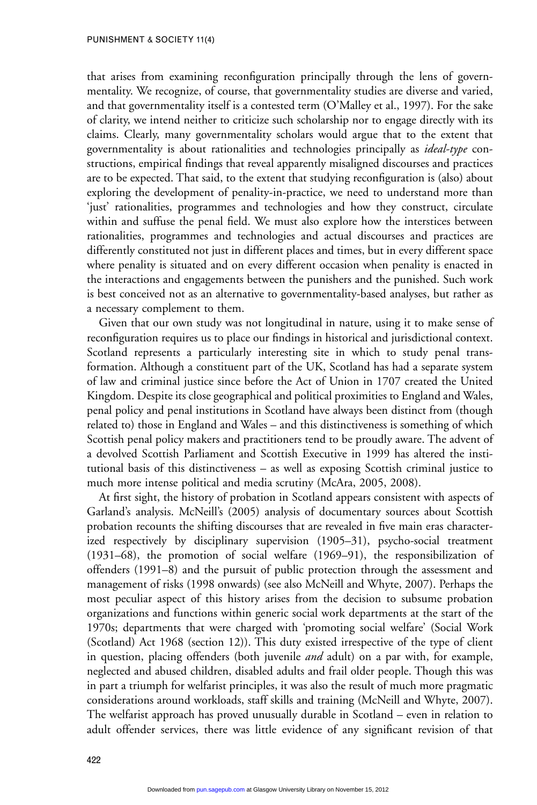that arises from examining reconfiguration principally through the lens of governmentality. We recognize, of course, that governmentality studies are diverse and varied, and that governmentality itself is a contested term (O'Malley et al., 1997). For the sake of clarity, we intend neither to criticize such scholarship nor to engage directly with its claims. Clearly, many governmentality scholars would argue that to the extent that governmentality is about rationalities and technologies principally as *ideal-type* constructions, empirical findings that reveal apparently misaligned discourses and practices are to be expected. That said, to the extent that studying reconfiguration is (also) about exploring the development of penality-in-practice, we need to understand more than 'just' rationalities, programmes and technologies and how they construct, circulate within and suffuse the penal field. We must also explore how the interstices between rationalities, programmes and technologies and actual discourses and practices are differently constituted not just in different places and times, but in every different space where penality is situated and on every different occasion when penality is enacted in the interactions and engagements between the punishers and the punished. Such work is best conceived not as an alternative to governmentality-based analyses, but rather as a necessary complement to them.

Given that our own study was not longitudinal in nature, using it to make sense of reconfiguration requires us to place our findings in historical and jurisdictional context. Scotland represents a particularly interesting site in which to study penal transformation. Although a constituent part of the UK, Scotland has had a separate system of law and criminal justice since before the Act of Union in 1707 created the United Kingdom. Despite its close geographical and political proximities to England and Wales, penal policy and penal institutions in Scotland have always been distinct from (though related to) those in England and Wales – and this distinctiveness is something of which Scottish penal policy makers and practitioners tend to be proudly aware. The advent of a devolved Scottish Parliament and Scottish Executive in 1999 has altered the institutional basis of this distinctiveness – as well as exposing Scottish criminal justice to much more intense political and media scrutiny (McAra, 2005, 2008).

At first sight, the history of probation in Scotland appears consistent with aspects of Garland's analysis. McNeill's (2005) analysis of documentary sources about Scottish probation recounts the shifting discourses that are revealed in five main eras characterized respectively by disciplinary supervision (1905–31), psycho-social treatment (1931–68), the promotion of social welfare (1969–91), the responsibilization of offenders (1991–8) and the pursuit of public protection through the assessment and management of risks (1998 onwards) (see also McNeill and Whyte, 2007). Perhaps the most peculiar aspect of this history arises from the decision to subsume probation organizations and functions within generic social work departments at the start of the 1970s; departments that were charged with 'promoting social welfare' (Social Work (Scotland) Act 1968 (section 12)). This duty existed irrespective of the type of client in question, placing offenders (both juvenile *and* adult) on a par with, for example, neglected and abused children, disabled adults and frail older people. Though this was in part a triumph for welfarist principles, it was also the result of much more pragmatic considerations around workloads, staff skills and training (McNeill and Whyte, 2007). The welfarist approach has proved unusually durable in Scotland – even in relation to adult offender services, there was little evidence of any significant revision of that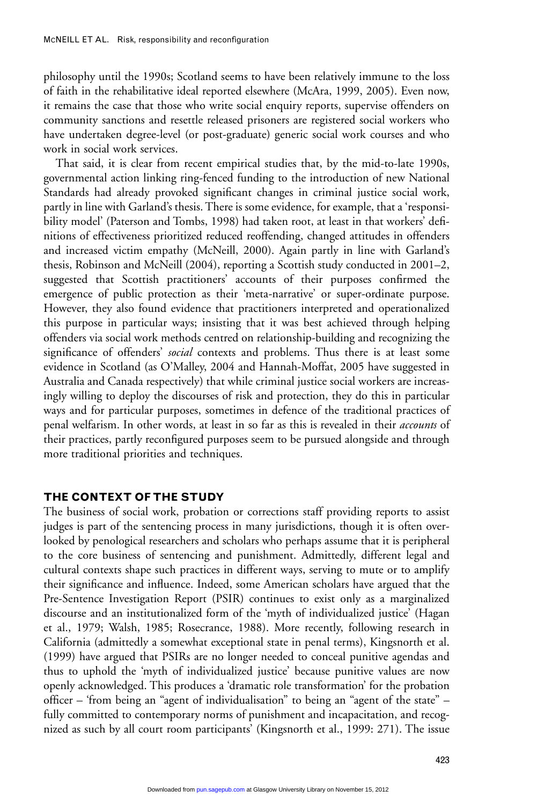philosophy until the 1990s; Scotland seems to have been relatively immune to the loss of faith in the rehabilitative ideal reported elsewhere (McAra, 1999, 2005). Even now, it remains the case that those who write social enquiry reports, supervise offenders on community sanctions and resettle released prisoners are registered social workers who have undertaken degree-level (or post-graduate) generic social work courses and who work in social work services.

That said, it is clear from recent empirical studies that, by the mid-to-late 1990s, governmental action linking ring-fenced funding to the introduction of new National Standards had already provoked significant changes in criminal justice social work, partly in line with Garland's thesis. There is some evidence, for example, that a 'responsibility model' (Paterson and Tombs, 1998) had taken root, at least in that workers' definitions of effectiveness prioritized reduced reoffending, changed attitudes in offenders and increased victim empathy (McNeill, 2000). Again partly in line with Garland's thesis, Robinson and McNeill (2004), reporting a Scottish study conducted in 2001–2, suggested that Scottish practitioners' accounts of their purposes confirmed the emergence of public protection as their 'meta-narrative' or super-ordinate purpose. However, they also found evidence that practitioners interpreted and operationalized this purpose in particular ways; insisting that it was best achieved through helping offenders via social work methods centred on relationship-building and recognizing the significance of offenders' *social* contexts and problems. Thus there is at least some evidence in Scotland (as O'Malley, 2004 and Hannah-Moffat, 2005 have suggested in Australia and Canada respectively) that while criminal justice social workers are increasingly willing to deploy the discourses of risk and protection, they do this in particular ways and for particular purposes, sometimes in defence of the traditional practices of penal welfarism. In other words, at least in so far as this is revealed in their *accounts* of their practices, partly reconfigured purposes seem to be pursued alongside and through more traditional priorities and techniques.

# **THE CONTEXT OF THE STUDY**

The business of social work, probation or corrections staff providing reports to assist judges is part of the sentencing process in many jurisdictions, though it is often overlooked by penological researchers and scholars who perhaps assume that it is peripheral to the core business of sentencing and punishment. Admittedly, different legal and cultural contexts shape such practices in different ways, serving to mute or to amplify their significance and influence. Indeed, some American scholars have argued that the Pre-Sentence Investigation Report (PSIR) continues to exist only as a marginalized discourse and an institutionalized form of the 'myth of individualized justice' (Hagan et al., 1979; Walsh, 1985; Rosecrance, 1988). More recently, following research in California (admittedly a somewhat exceptional state in penal terms), Kingsnorth et al. (1999) have argued that PSIRs are no longer needed to conceal punitive agendas and thus to uphold the 'myth of individualized justice' because punitive values are now openly acknowledged. This produces a 'dramatic role transformation' for the probation officer – 'from being an "agent of individualisation" to being an "agent of the state" – fully committed to contemporary norms of punishment and incapacitation, and recognized as such by all court room participants' (Kingsnorth et al., 1999: 271). The issue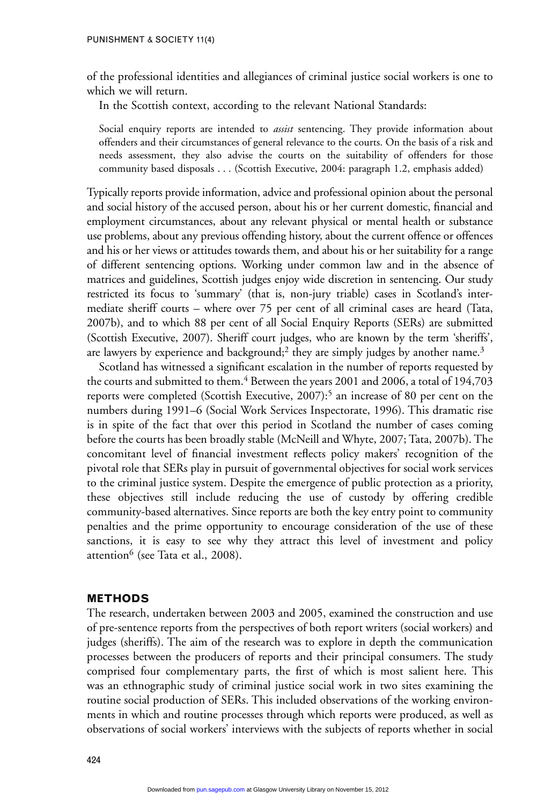of the professional identities and allegiances of criminal justice social workers is one to which we will return.

In the Scottish context, according to the relevant National Standards:

Social enquiry reports are intended to *assist* sentencing. They provide information about offenders and their circumstances of general relevance to the courts. On the basis of a risk and needs assessment, they also advise the courts on the suitability of offenders for those community based disposals . . . (Scottish Executive, 2004: paragraph 1.2, emphasis added)

Typically reports provide information, advice and professional opinion about the personal and social history of the accused person, about his or her current domestic, financial and employment circumstances, about any relevant physical or mental health or substance use problems, about any previous offending history, about the current offence or offences and his or her views or attitudes towards them, and about his or her suitability for a range of different sentencing options. Working under common law and in the absence of matrices and guidelines, Scottish judges enjoy wide discretion in sentencing. Our study restricted its focus to 'summary' (that is, non-jury triable) cases in Scotland's intermediate sheriff courts – where over 75 per cent of all criminal cases are heard (Tata, 2007b), and to which 88 per cent of all Social Enquiry Reports (SERs) are submitted (Scottish Executive, 2007). Sheriff court judges, who are known by the term 'sheriffs', are lawyers by experience and background;<sup>2</sup> they are simply judges by another name.<sup>3</sup>

Scotland has witnessed a significant escalation in the number of reports requested by the courts and submitted to them.<sup>4</sup> Between the years 2001 and 2006, a total of 194,703 reports were completed (Scottish Executive, 2007):<sup>5</sup> an increase of 80 per cent on the numbers during 1991–6 (Social Work Services Inspectorate, 1996). This dramatic rise is in spite of the fact that over this period in Scotland the number of cases coming before the courts has been broadly stable (McNeill and Whyte, 2007; Tata, 2007b). The concomitant level of financial investment reflects policy makers' recognition of the pivotal role that SERs play in pursuit of governmental objectives for social work services to the criminal justice system. Despite the emergence of public protection as a priority, these objectives still include reducing the use of custody by offering credible community-based alternatives. Since reports are both the key entry point to community penalties and the prime opportunity to encourage consideration of the use of these sanctions, it is easy to see why they attract this level of investment and policy attention<sup>6</sup> (see Tata et al., 2008).

#### **METHODS**

The research, undertaken between 2003 and 2005, examined the construction and use of pre-sentence reports from the perspectives of both report writers (social workers) and judges (sheriffs). The aim of the research was to explore in depth the communication processes between the producers of reports and their principal consumers. The study comprised four complementary parts, the first of which is most salient here. This was an ethnographic study of criminal justice social work in two sites examining the routine social production of SERs. This included observations of the working environments in which and routine processes through which reports were produced, as well as observations of social workers' interviews with the subjects of reports whether in social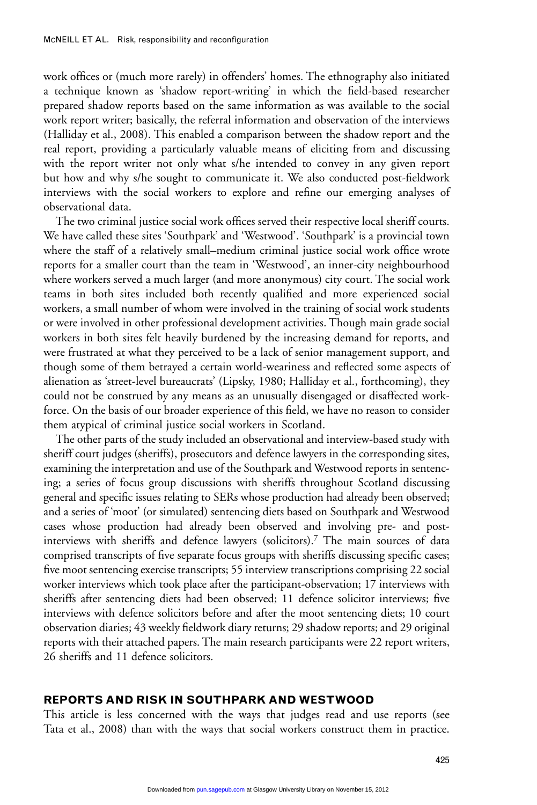work offices or (much more rarely) in offenders' homes. The ethnography also initiated a technique known as 'shadow report-writing' in which the field-based researcher prepared shadow reports based on the same information as was available to the social work report writer; basically, the referral information and observation of the interviews (Halliday et al., 2008). This enabled a comparison between the shadow report and the real report, providing a particularly valuable means of eliciting from and discussing with the report writer not only what s/he intended to convey in any given report but how and why s/he sought to communicate it. We also conducted post-fieldwork interviews with the social workers to explore and refine our emerging analyses of observational data.

The two criminal justice social work offices served their respective local sheriff courts. We have called these sites 'Southpark' and 'Westwood'. 'Southpark' is a provincial town where the staff of a relatively small–medium criminal justice social work office wrote reports for a smaller court than the team in 'Westwood', an inner-city neighbourhood where workers served a much larger (and more anonymous) city court. The social work teams in both sites included both recently qualified and more experienced social workers, a small number of whom were involved in the training of social work students or were involved in other professional development activities. Though main grade social workers in both sites felt heavily burdened by the increasing demand for reports, and were frustrated at what they perceived to be a lack of senior management support, and though some of them betrayed a certain world-weariness and reflected some aspects of alienation as 'street-level bureaucrats' (Lipsky, 1980; Halliday et al., forthcoming), they could not be construed by any means as an unusually disengaged or disaffected workforce. On the basis of our broader experience of this field, we have no reason to consider them atypical of criminal justice social workers in Scotland.

The other parts of the study included an observational and interview-based study with sheriff court judges (sheriffs), prosecutors and defence lawyers in the corresponding sites, examining the interpretation and use of the Southpark and Westwood reports in sentencing; a series of focus group discussions with sheriffs throughout Scotland discussing general and specific issues relating to SERs whose production had already been observed; and a series of 'moot' (or simulated) sentencing diets based on Southpark and Westwood cases whose production had already been observed and involving pre- and postinterviews with sheriffs and defence lawyers (solicitors).7 The main sources of data comprised transcripts of five separate focus groups with sheriffs discussing specific cases; five moot sentencing exercise transcripts; 55 interview transcriptions comprising 22 social worker interviews which took place after the participant-observation; 17 interviews with sheriffs after sentencing diets had been observed; 11 defence solicitor interviews; five interviews with defence solicitors before and after the moot sentencing diets; 10 court observation diaries; 43 weekly fieldwork diary returns; 29 shadow reports; and 29 original reports with their attached papers. The main research participants were 22 report writers, 26 sheriffs and 11 defence solicitors.

# **REPORTS AND RISK IN SOUTHPARK AND WESTWOOD**

This article is less concerned with the ways that judges read and use reports (see Tata et al., 2008) than with the ways that social workers construct them in practice.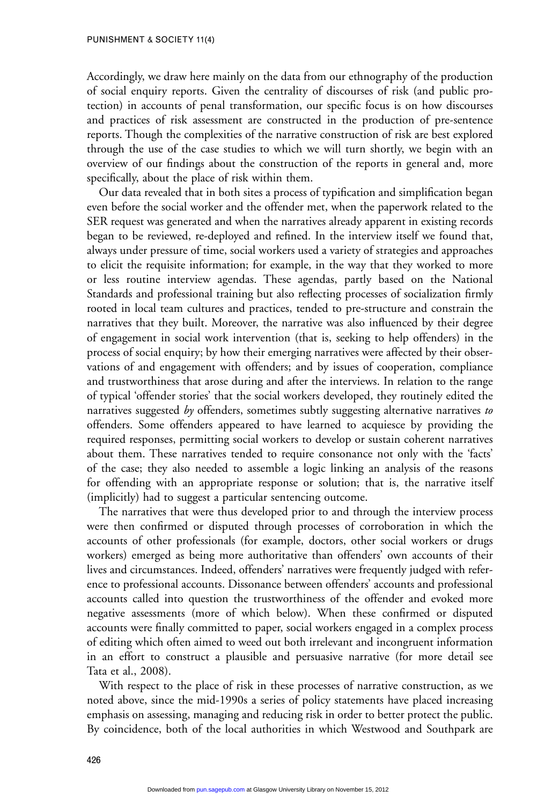Accordingly, we draw here mainly on the data from our ethnography of the production of social enquiry reports. Given the centrality of discourses of risk (and public protection) in accounts of penal transformation, our specific focus is on how discourses and practices of risk assessment are constructed in the production of pre-sentence reports. Though the complexities of the narrative construction of risk are best explored through the use of the case studies to which we will turn shortly, we begin with an overview of our findings about the construction of the reports in general and, more specifically, about the place of risk within them.

Our data revealed that in both sites a process of typification and simplification began even before the social worker and the offender met, when the paperwork related to the SER request was generated and when the narratives already apparent in existing records began to be reviewed, re-deployed and refined. In the interview itself we found that, always under pressure of time, social workers used a variety of strategies and approaches to elicit the requisite information; for example, in the way that they worked to more or less routine interview agendas. These agendas, partly based on the National Standards and professional training but also reflecting processes of socialization firmly rooted in local team cultures and practices, tended to pre-structure and constrain the narratives that they built. Moreover, the narrative was also influenced by their degree of engagement in social work intervention (that is, seeking to help offenders) in the process of social enquiry; by how their emerging narratives were affected by their observations of and engagement with offenders; and by issues of cooperation, compliance and trustworthiness that arose during and after the interviews. In relation to the range of typical 'offender stories' that the social workers developed, they routinely edited the narratives suggested *by* offenders, sometimes subtly suggesting alternative narratives *to* offenders. Some offenders appeared to have learned to acquiesce by providing the required responses, permitting social workers to develop or sustain coherent narratives about them. These narratives tended to require consonance not only with the 'facts' of the case; they also needed to assemble a logic linking an analysis of the reasons for offending with an appropriate response or solution; that is, the narrative itself (implicitly) had to suggest a particular sentencing outcome.

The narratives that were thus developed prior to and through the interview process were then confirmed or disputed through processes of corroboration in which the accounts of other professionals (for example, doctors, other social workers or drugs workers) emerged as being more authoritative than offenders' own accounts of their lives and circumstances. Indeed, offenders' narratives were frequently judged with reference to professional accounts. Dissonance between offenders' accounts and professional accounts called into question the trustworthiness of the offender and evoked more negative assessments (more of which below). When these confirmed or disputed accounts were finally committed to paper, social workers engaged in a complex process of editing which often aimed to weed out both irrelevant and incongruent information in an effort to construct a plausible and persuasive narrative (for more detail see Tata et al., 2008).

With respect to the place of risk in these processes of narrative construction, as we noted above, since the mid-1990s a series of policy statements have placed increasing emphasis on assessing, managing and reducing risk in order to better protect the public. By coincidence, both of the local authorities in which Westwood and Southpark are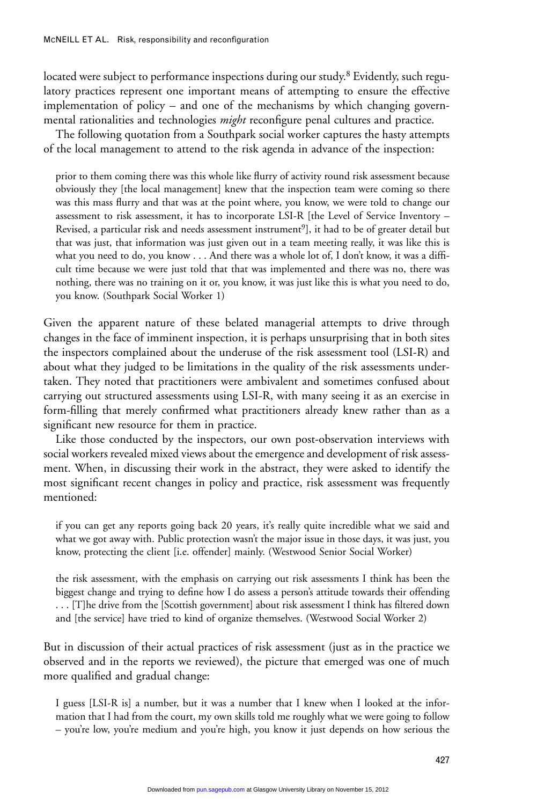located were subject to performance inspections during our study.<sup>8</sup> Evidently, such regulatory practices represent one important means of attempting to ensure the effective implementation of policy – and one of the mechanisms by which changing governmental rationalities and technologies *might* reconfigure penal cultures and practice.

The following quotation from a Southpark social worker captures the hasty attempts of the local management to attend to the risk agenda in advance of the inspection:

prior to them coming there was this whole like flurry of activity round risk assessment because obviously they [the local management] knew that the inspection team were coming so there was this mass flurry and that was at the point where, you know, we were told to change our assessment to risk assessment, it has to incorporate LSI-R [the Level of Service Inventory – Revised, a particular risk and needs assessment instrument<sup>9</sup>], it had to be of greater detail but that was just, that information was just given out in a team meeting really, it was like this is what you need to do, you know . . . And there was a whole lot of, I don't know, it was a difficult time because we were just told that that was implemented and there was no, there was nothing, there was no training on it or, you know, it was just like this is what you need to do, you know. (Southpark Social Worker 1)

Given the apparent nature of these belated managerial attempts to drive through changes in the face of imminent inspection, it is perhaps unsurprising that in both sites the inspectors complained about the underuse of the risk assessment tool (LSI-R) and about what they judged to be limitations in the quality of the risk assessments undertaken. They noted that practitioners were ambivalent and sometimes confused about carrying out structured assessments using LSI-R, with many seeing it as an exercise in form-filling that merely confirmed what practitioners already knew rather than as a significant new resource for them in practice.

Like those conducted by the inspectors, our own post-observation interviews with social workers revealed mixed views about the emergence and development of risk assessment. When, in discussing their work in the abstract, they were asked to identify the most significant recent changes in policy and practice, risk assessment was frequently mentioned:

if you can get any reports going back 20 years, it's really quite incredible what we said and what we got away with. Public protection wasn't the major issue in those days, it was just, you know, protecting the client [i.e. offender] mainly. (Westwood Senior Social Worker)

the risk assessment, with the emphasis on carrying out risk assessments I think has been the biggest change and trying to define how I do assess a person's attitude towards their offending . . . [T]he drive from the [Scottish government] about risk assessment I think has filtered down and [the service] have tried to kind of organize themselves. (Westwood Social Worker 2)

But in discussion of their actual practices of risk assessment (just as in the practice we observed and in the reports we reviewed), the picture that emerged was one of much more qualified and gradual change:

I guess [LSI-R is] a number, but it was a number that I knew when I looked at the information that I had from the court, my own skills told me roughly what we were going to follow – you're low, you're medium and you're high, you know it just depends on how serious the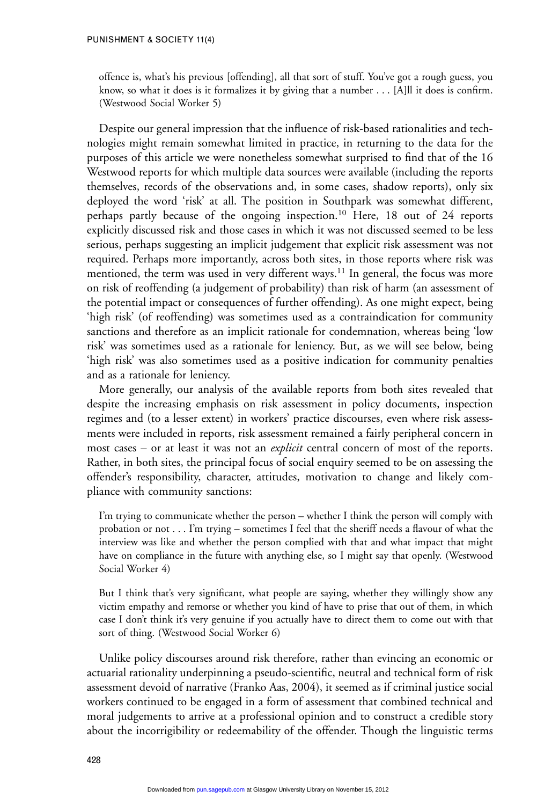offence is, what's his previous [offending], all that sort of stuff. You've got a rough guess, you know, so what it does is it formalizes it by giving that a number . . . [A]ll it does is confirm. (Westwood Social Worker 5)

Despite our general impression that the influence of risk-based rationalities and technologies might remain somewhat limited in practice, in returning to the data for the purposes of this article we were nonetheless somewhat surprised to find that of the 16 Westwood reports for which multiple data sources were available (including the reports themselves, records of the observations and, in some cases, shadow reports), only six deployed the word 'risk' at all. The position in Southpark was somewhat different, perhaps partly because of the ongoing inspection.<sup>10</sup> Here, 18 out of 24 reports explicitly discussed risk and those cases in which it was not discussed seemed to be less serious, perhaps suggesting an implicit judgement that explicit risk assessment was not required. Perhaps more importantly, across both sites, in those reports where risk was mentioned, the term was used in very different ways.<sup>11</sup> In general, the focus was more on risk of reoffending (a judgement of probability) than risk of harm (an assessment of the potential impact or consequences of further offending). As one might expect, being 'high risk' (of reoffending) was sometimes used as a contraindication for community sanctions and therefore as an implicit rationale for condemnation, whereas being 'low risk' was sometimes used as a rationale for leniency. But, as we will see below, being 'high risk' was also sometimes used as a positive indication for community penalties and as a rationale for leniency.

More generally, our analysis of the available reports from both sites revealed that despite the increasing emphasis on risk assessment in policy documents, inspection regimes and (to a lesser extent) in workers' practice discourses, even where risk assessments were included in reports, risk assessment remained a fairly peripheral concern in most cases – or at least it was not an *explicit* central concern of most of the reports. Rather, in both sites, the principal focus of social enquiry seemed to be on assessing the offender's responsibility, character, attitudes, motivation to change and likely compliance with community sanctions:

I'm trying to communicate whether the person – whether I think the person will comply with probation or not . . . I'm trying – sometimes I feel that the sheriff needs a flavour of what the interview was like and whether the person complied with that and what impact that might have on compliance in the future with anything else, so I might say that openly. (Westwood Social Worker 4)

But I think that's very significant, what people are saying, whether they willingly show any victim empathy and remorse or whether you kind of have to prise that out of them, in which case I don't think it's very genuine if you actually have to direct them to come out with that sort of thing. (Westwood Social Worker 6)

Unlike policy discourses around risk therefore, rather than evincing an economic or actuarial rationality underpinning a pseudo-scientific, neutral and technical form of risk assessment devoid of narrative (Franko Aas, 2004), it seemed as if criminal justice social workers continued to be engaged in a form of assessment that combined technical and moral judgements to arrive at a professional opinion and to construct a credible story about the incorrigibility or redeemability of the offender. Though the linguistic terms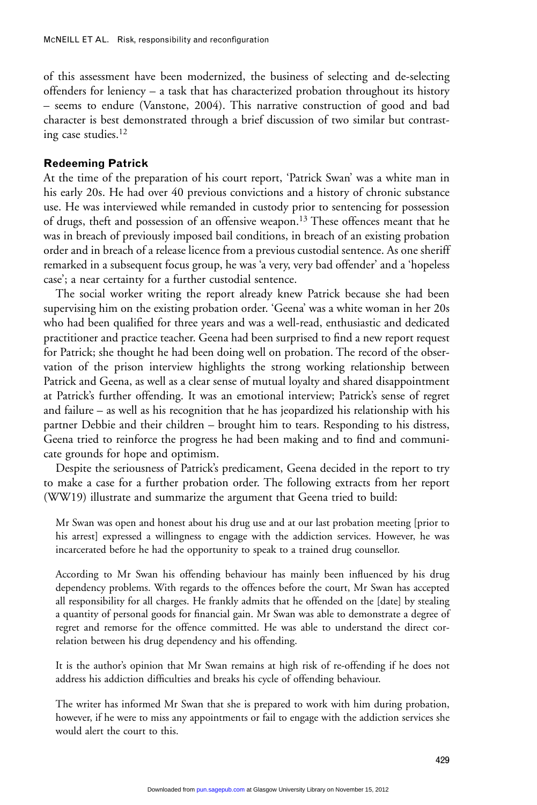of this assessment have been modernized, the business of selecting and de-selecting offenders for leniency – a task that has characterized probation throughout its history – seems to endure (Vanstone, 2004). This narrative construction of good and bad character is best demonstrated through a brief discussion of two similar but contrasting case studies.12

#### **Redeeming Patrick**

At the time of the preparation of his court report, 'Patrick Swan' was a white man in his early 20s. He had over 40 previous convictions and a history of chronic substance use. He was interviewed while remanded in custody prior to sentencing for possession of drugs, theft and possession of an offensive weapon.13 These offences meant that he was in breach of previously imposed bail conditions, in breach of an existing probation order and in breach of a release licence from a previous custodial sentence. As one sheriff remarked in a subsequent focus group, he was 'a very, very bad offender' and a 'hopeless case'; a near certainty for a further custodial sentence.

The social worker writing the report already knew Patrick because she had been supervising him on the existing probation order. 'Geena' was a white woman in her 20s who had been qualified for three years and was a well-read, enthusiastic and dedicated practitioner and practice teacher. Geena had been surprised to find a new report request for Patrick; she thought he had been doing well on probation. The record of the observation of the prison interview highlights the strong working relationship between Patrick and Geena, as well as a clear sense of mutual loyalty and shared disappointment at Patrick's further offending. It was an emotional interview; Patrick's sense of regret and failure – as well as his recognition that he has jeopardized his relationship with his partner Debbie and their children – brought him to tears. Responding to his distress, Geena tried to reinforce the progress he had been making and to find and communicate grounds for hope and optimism.

Despite the seriousness of Patrick's predicament, Geena decided in the report to try to make a case for a further probation order. The following extracts from her report (WW19) illustrate and summarize the argument that Geena tried to build:

Mr Swan was open and honest about his drug use and at our last probation meeting [prior to his arrest] expressed a willingness to engage with the addiction services. However, he was incarcerated before he had the opportunity to speak to a trained drug counsellor.

According to Mr Swan his offending behaviour has mainly been influenced by his drug dependency problems. With regards to the offences before the court, Mr Swan has accepted all responsibility for all charges. He frankly admits that he offended on the [date] by stealing a quantity of personal goods for financial gain. Mr Swan was able to demonstrate a degree of regret and remorse for the offence committed. He was able to understand the direct correlation between his drug dependency and his offending.

It is the author's opinion that Mr Swan remains at high risk of re-offending if he does not address his addiction difficulties and breaks his cycle of offending behaviour.

The writer has informed Mr Swan that she is prepared to work with him during probation, however, if he were to miss any appointments or fail to engage with the addiction services she would alert the court to this.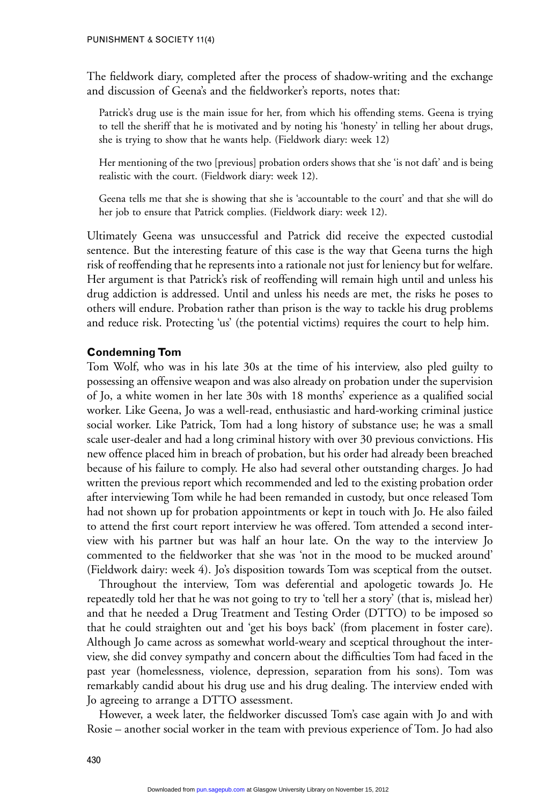The fieldwork diary, completed after the process of shadow-writing and the exchange and discussion of Geena's and the fieldworker's reports, notes that:

Patrick's drug use is the main issue for her, from which his offending stems. Geena is trying to tell the sheriff that he is motivated and by noting his 'honesty' in telling her about drugs, she is trying to show that he wants help. (Fieldwork diary: week 12)

Her mentioning of the two [previous] probation orders shows that she 'is not daft' and is being realistic with the court. (Fieldwork diary: week 12).

Geena tells me that she is showing that she is 'accountable to the court' and that she will do her job to ensure that Patrick complies. (Fieldwork diary: week 12).

Ultimately Geena was unsuccessful and Patrick did receive the expected custodial sentence. But the interesting feature of this case is the way that Geena turns the high risk of reoffending that he represents into a rationale not just for leniency but for welfare. Her argument is that Patrick's risk of reoffending will remain high until and unless his drug addiction is addressed. Until and unless his needs are met, the risks he poses to others will endure. Probation rather than prison is the way to tackle his drug problems and reduce risk. Protecting 'us' (the potential victims) requires the court to help him.

#### **Condemning Tom**

Tom Wolf, who was in his late 30s at the time of his interview, also pled guilty to possessing an offensive weapon and was also already on probation under the supervision of Jo, a white women in her late 30s with 18 months' experience as a qualified social worker. Like Geena, Jo was a well-read, enthusiastic and hard-working criminal justice social worker. Like Patrick, Tom had a long history of substance use; he was a small scale user-dealer and had a long criminal history with over 30 previous convictions. His new offence placed him in breach of probation, but his order had already been breached because of his failure to comply. He also had several other outstanding charges. Jo had written the previous report which recommended and led to the existing probation order after interviewing Tom while he had been remanded in custody, but once released Tom had not shown up for probation appointments or kept in touch with Jo. He also failed to attend the first court report interview he was offered. Tom attended a second interview with his partner but was half an hour late. On the way to the interview Jo commented to the fieldworker that she was 'not in the mood to be mucked around' (Fieldwork dairy: week 4). Jo's disposition towards Tom was sceptical from the outset.

Throughout the interview, Tom was deferential and apologetic towards Jo. He repeatedly told her that he was not going to try to 'tell her a story' (that is, mislead her) and that he needed a Drug Treatment and Testing Order (DTTO) to be imposed so that he could straighten out and 'get his boys back' (from placement in foster care). Although Jo came across as somewhat world-weary and sceptical throughout the interview, she did convey sympathy and concern about the difficulties Tom had faced in the past year (homelessness, violence, depression, separation from his sons). Tom was remarkably candid about his drug use and his drug dealing. The interview ended with Jo agreeing to arrange a DTTO assessment.

However, a week later, the fieldworker discussed Tom's case again with Jo and with Rosie – another social worker in the team with previous experience of Tom. Jo had also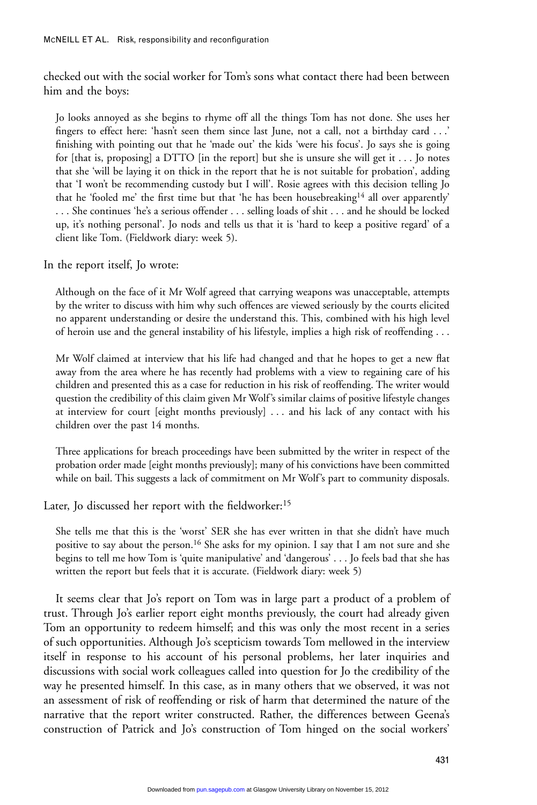checked out with the social worker for Tom's sons what contact there had been between him and the boys:

Jo looks annoyed as she begins to rhyme off all the things Tom has not done. She uses her fingers to effect here: 'hasn't seen them since last June, not a call, not a birthday card . . .' finishing with pointing out that he 'made out' the kids 'were his focus'. Jo says she is going for [that is, proposing] a DTTO [in the report] but she is unsure she will get it  $\dots$  Jo notes that she 'will be laying it on thick in the report that he is not suitable for probation', adding that 'I won't be recommending custody but I will'. Rosie agrees with this decision telling Jo that he 'fooled me' the first time but that 'he has been housebreaking<sup>14</sup> all over apparently' . . . She continues 'he's a serious offender . . . selling loads of shit . . . and he should be locked up, it's nothing personal'. Jo nods and tells us that it is 'hard to keep a positive regard' of a client like Tom. (Fieldwork diary: week 5).

In the report itself, Jo wrote:

Although on the face of it Mr Wolf agreed that carrying weapons was unacceptable, attempts by the writer to discuss with him why such offences are viewed seriously by the courts elicited no apparent understanding or desire the understand this. This, combined with his high level of heroin use and the general instability of his lifestyle, implies a high risk of reoffending . . .

Mr Wolf claimed at interview that his life had changed and that he hopes to get a new flat away from the area where he has recently had problems with a view to regaining care of his children and presented this as a case for reduction in his risk of reoffending. The writer would question the credibility of this claim given Mr Wolf's similar claims of positive lifestyle changes at interview for court [eight months previously] . . . and his lack of any contact with his children over the past 14 months.

Three applications for breach proceedings have been submitted by the writer in respect of the probation order made [eight months previously]; many of his convictions have been committed while on bail. This suggests a lack of commitment on Mr Wolf's part to community disposals.

Later, Jo discussed her report with the fieldworker:<sup>15</sup>

She tells me that this is the 'worst' SER she has ever written in that she didn't have much positive to say about the person.<sup>16</sup> She asks for my opinion. I say that I am not sure and she begins to tell me how Tom is 'quite manipulative' and 'dangerous' . . . Jo feels bad that she has written the report but feels that it is accurate. (Fieldwork diary: week 5)

It seems clear that Jo's report on Tom was in large part a product of a problem of trust. Through Jo's earlier report eight months previously, the court had already given Tom an opportunity to redeem himself; and this was only the most recent in a series of such opportunities. Although Jo's scepticism towards Tom mellowed in the interview itself in response to his account of his personal problems, her later inquiries and discussions with social work colleagues called into question for Jo the credibility of the way he presented himself. In this case, as in many others that we observed, it was not an assessment of risk of reoffending or risk of harm that determined the nature of the narrative that the report writer constructed. Rather, the differences between Geena's construction of Patrick and Jo's construction of Tom hinged on the social workers'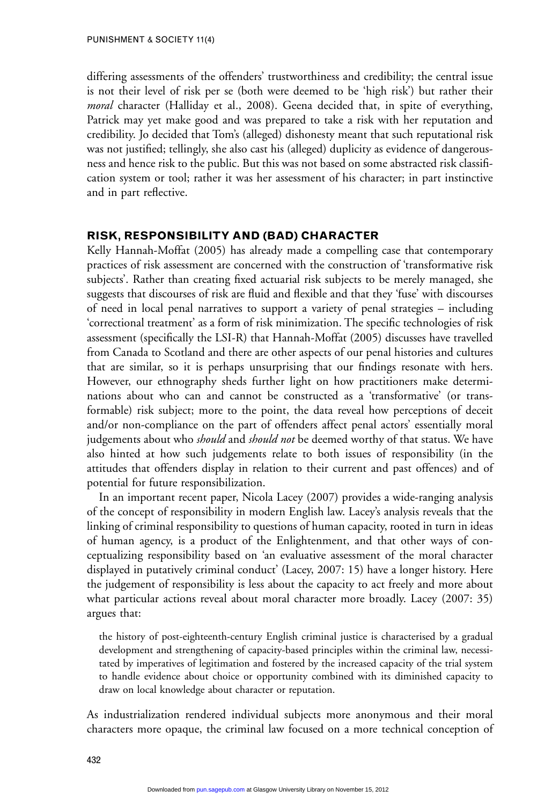differing assessments of the offenders' trustworthiness and credibility; the central issue is not their level of risk per se (both were deemed to be 'high risk') but rather their *moral* character (Halliday et al., 2008). Geena decided that, in spite of everything, Patrick may yet make good and was prepared to take a risk with her reputation and credibility. Jo decided that Tom's (alleged) dishonesty meant that such reputational risk was not justified; tellingly, she also cast his (alleged) duplicity as evidence of dangerousness and hence risk to the public. But this was not based on some abstracted risk classification system or tool; rather it was her assessment of his character; in part instinctive and in part reflective.

# **RISK, RESPONSIBILITY AND (BAD) CHARACTER**

Kelly Hannah-Moffat (2005) has already made a compelling case that contemporary practices of risk assessment are concerned with the construction of 'transformative risk subjects'. Rather than creating fixed actuarial risk subjects to be merely managed, she suggests that discourses of risk are fluid and flexible and that they 'fuse' with discourses of need in local penal narratives to support a variety of penal strategies – including 'correctional treatment' as a form of risk minimization. The specific technologies of risk assessment (specifically the LSI-R) that Hannah-Moffat (2005) discusses have travelled from Canada to Scotland and there are other aspects of our penal histories and cultures that are similar, so it is perhaps unsurprising that our findings resonate with hers. However, our ethnography sheds further light on how practitioners make determinations about who can and cannot be constructed as a 'transformative' (or transformable) risk subject; more to the point, the data reveal how perceptions of deceit and/or non-compliance on the part of offenders affect penal actors' essentially moral judgements about who *should* and *should not* be deemed worthy of that status. We have also hinted at how such judgements relate to both issues of responsibility (in the attitudes that offenders display in relation to their current and past offences) and of potential for future responsibilization.

In an important recent paper, Nicola Lacey (2007) provides a wide-ranging analysis of the concept of responsibility in modern English law. Lacey's analysis reveals that the linking of criminal responsibility to questions of human capacity, rooted in turn in ideas of human agency, is a product of the Enlightenment, and that other ways of conceptualizing responsibility based on 'an evaluative assessment of the moral character displayed in putatively criminal conduct' (Lacey, 2007: 15) have a longer history. Here the judgement of responsibility is less about the capacity to act freely and more about what particular actions reveal about moral character more broadly. Lacey (2007: 35) argues that:

the history of post-eighteenth-century English criminal justice is characterised by a gradual development and strengthening of capacity-based principles within the criminal law, necessitated by imperatives of legitimation and fostered by the increased capacity of the trial system to handle evidence about choice or opportunity combined with its diminished capacity to draw on local knowledge about character or reputation.

As industrialization rendered individual subjects more anonymous and their moral characters more opaque, the criminal law focused on a more technical conception of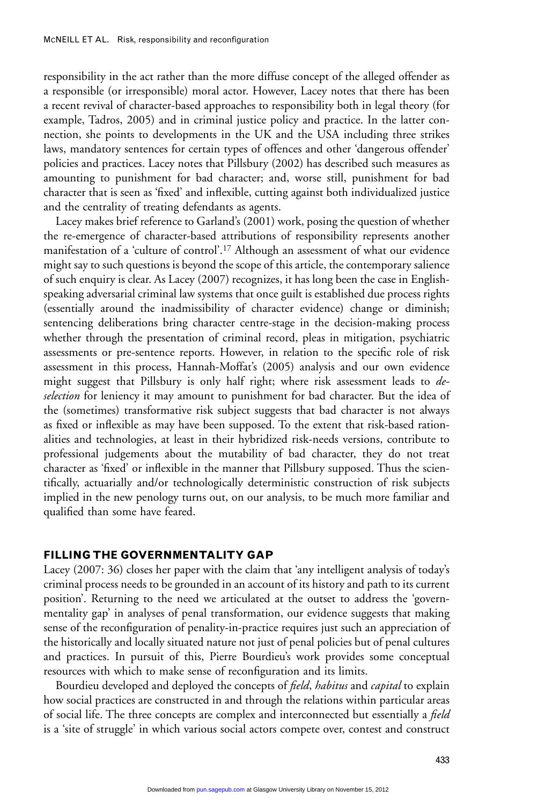responsibility in the act rather than the more diffuse concept of the alleged offender as a responsible (or irresponsible) moral actor. However, Lacey notes that there has been a recent revival of character-based approaches to responsibility both in legal theory (for example, Tadros, 2005) and in criminal justice policy and practice. In the latter connection, she points to developments in the UK and the USA including three strikes laws, mandatory sentences for certain types of offences and other 'dangerous offender' policies and practices. Lacey notes that Pillsbury (2002) has described such measures as amounting to punishment for bad character; and, worse still, punishment for bad character that is seen as 'fixed' and inflexible, cutting against both individualized justice and the centrality of treating defendants as agents.

Lacey makes brief reference to Garland's (2001) work, posing the question of whether the re-emergence of character-based attributions of responsibility represents another manifestation of a 'culture of control'.17 Although an assessment of what our evidence might say to such questions is beyond the scope of this article, the contemporary salience of such enquiry is clear. As Lacey (2007) recognizes, it has long been the case in Englishspeaking adversarial criminal law systems that once guilt is established due process rights (essentially around the inadmissibility of character evidence) change or diminish; sentencing deliberations bring character centre-stage in the decision-making process whether through the presentation of criminal record, pleas in mitigation, psychiatric assessments or pre-sentence reports. However, in relation to the specific role of risk assessment in this process, Hannah-Moffat's (2005) analysis and our own evidence might suggest that Pillsbury is only half right; where risk assessment leads to *deselection* for leniency it may amount to punishment for bad character. But the idea of the (sometimes) transformative risk subject suggests that bad character is not always as fixed or inflexible as may have been supposed. To the extent that risk-based rationalities and technologies, at least in their hybridized risk-needs versions, contribute to professional judgements about the mutability of bad character, they do not treat character as 'fixed' or inflexible in the manner that Pillsbury supposed. Thus the scientifically, actuarially and/or technologically deterministic construction of risk subjects implied in the new penology turns out, on our analysis, to be much more familiar and qualified than some have feared.

# **FILLING THE GOVERNMENTALITY GAP**

Lacey (2007: 36) closes her paper with the claim that 'any intelligent analysis of today's criminal process needs to be grounded in an account of its history and path to its current position'. Returning to the need we articulated at the outset to address the 'governmentality gap' in analyses of penal transformation, our evidence suggests that making sense of the reconfiguration of penality-in-practice requires just such an appreciation of the historically and locally situated nature not just of penal policies but of penal cultures and practices. In pursuit of this, Pierre Bourdieu's work provides some conceptual resources with which to make sense of reconfiguration and its limits.

Bourdieu developed and deployed the concepts of *field*, *habitus* and *capital* to explain how social practices are constructed in and through the relations within particular areas of social life. The three concepts are complex and interconnected but essentially a *field* is a 'site of struggle' in which various social actors compete over, contest and construct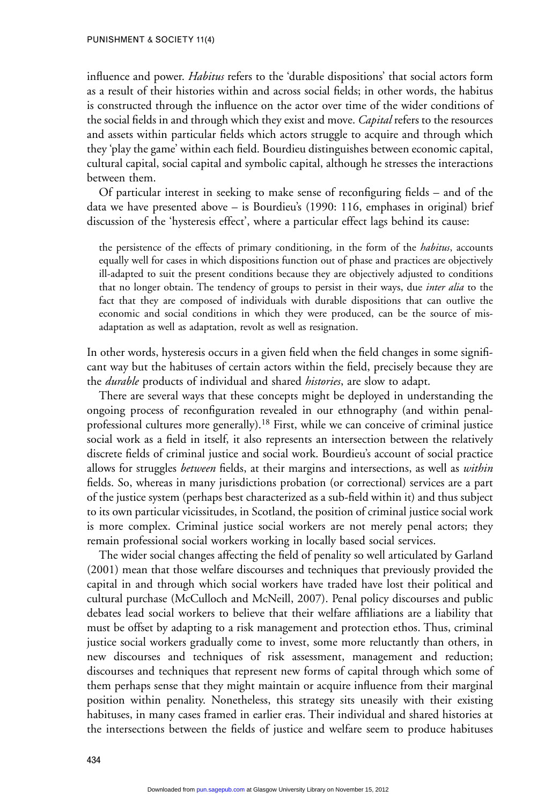#### PUNISHMENT & SOCIETY 11(4)

influence and power. *Habitus* refers to the 'durable dispositions' that social actors form as a result of their histories within and across social fields; in other words, the habitus is constructed through the influence on the actor over time of the wider conditions of the social fields in and through which they exist and move. *Capital* refers to the resources and assets within particular fields which actors struggle to acquire and through which they 'play the game' within each field. Bourdieu distinguishes between economic capital, cultural capital, social capital and symbolic capital, although he stresses the interactions between them.

Of particular interest in seeking to make sense of reconfiguring fields – and of the data we have presented above – is Bourdieu's (1990: 116, emphases in original) brief discussion of the 'hysteresis effect', where a particular effect lags behind its cause:

the persistence of the effects of primary conditioning, in the form of the *habitus*, accounts equally well for cases in which dispositions function out of phase and practices are objectively ill-adapted to suit the present conditions because they are objectively adjusted to conditions that no longer obtain. The tendency of groups to persist in their ways, due *inter alia* to the fact that they are composed of individuals with durable dispositions that can outlive the economic and social conditions in which they were produced, can be the source of misadaptation as well as adaptation, revolt as well as resignation.

In other words, hysteresis occurs in a given field when the field changes in some significant way but the habituses of certain actors within the field, precisely because they are the *durable* products of individual and shared *histories*, are slow to adapt.

There are several ways that these concepts might be deployed in understanding the ongoing process of reconfiguration revealed in our ethnography (and within penalprofessional cultures more generally).<sup>18</sup> First, while we can conceive of criminal justice social work as a field in itself, it also represents an intersection between the relatively discrete fields of criminal justice and social work. Bourdieu's account of social practice allows for struggles *between* fields, at their margins and intersections, as well as *within* fields. So, whereas in many jurisdictions probation (or correctional) services are a part of the justice system (perhaps best characterized as a sub-field within it) and thus subject to its own particular vicissitudes, in Scotland, the position of criminal justice social work is more complex. Criminal justice social workers are not merely penal actors; they remain professional social workers working in locally based social services.

The wider social changes affecting the field of penality so well articulated by Garland (2001) mean that those welfare discourses and techniques that previously provided the capital in and through which social workers have traded have lost their political and cultural purchase (McCulloch and McNeill, 2007). Penal policy discourses and public debates lead social workers to believe that their welfare affiliations are a liability that must be offset by adapting to a risk management and protection ethos. Thus, criminal justice social workers gradually come to invest, some more reluctantly than others, in new discourses and techniques of risk assessment, management and reduction; discourses and techniques that represent new forms of capital through which some of them perhaps sense that they might maintain or acquire influence from their marginal position within penality. Nonetheless, this strategy sits uneasily with their existing habituses, in many cases framed in earlier eras. Their individual and shared histories at the intersections between the fields of justice and welfare seem to produce habituses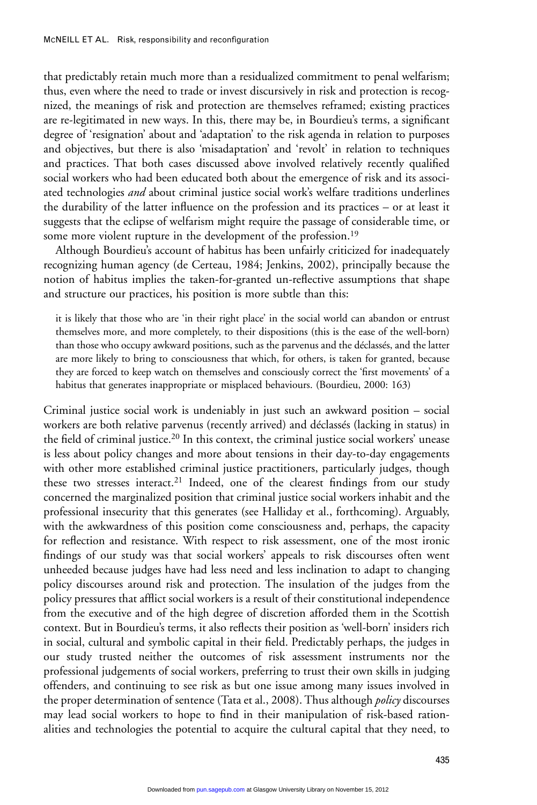that predictably retain much more than a residualized commitment to penal welfarism; thus, even where the need to trade or invest discursively in risk and protection is recognized, the meanings of risk and protection are themselves reframed; existing practices are re-legitimated in new ways. In this, there may be, in Bourdieu's terms, a significant degree of 'resignation' about and 'adaptation' to the risk agenda in relation to purposes and objectives, but there is also 'misadaptation' and 'revolt' in relation to techniques and practices. That both cases discussed above involved relatively recently qualified social workers who had been educated both about the emergence of risk and its associated technologies *and* about criminal justice social work's welfare traditions underlines the durability of the latter influence on the profession and its practices – or at least it suggests that the eclipse of welfarism might require the passage of considerable time, or some more violent rupture in the development of the profession.<sup>19</sup>

Although Bourdieu's account of habitus has been unfairly criticized for inadequately recognizing human agency (de Certeau, 1984; Jenkins, 2002), principally because the notion of habitus implies the taken-for-granted un-reflective assumptions that shape and structure our practices, his position is more subtle than this:

it is likely that those who are 'in their right place' in the social world can abandon or entrust themselves more, and more completely, to their dispositions (this is the ease of the well-born) than those who occupy awkward positions, such as the parvenus and the déclassés, and the latter are more likely to bring to consciousness that which, for others, is taken for granted, because they are forced to keep watch on themselves and consciously correct the 'first movements' of a habitus that generates inappropriate or misplaced behaviours. (Bourdieu, 2000: 163)

Criminal justice social work is undeniably in just such an awkward position – social workers are both relative parvenus (recently arrived) and déclassés (lacking in status) in the field of criminal justice.20 In this context, the criminal justice social workers' unease is less about policy changes and more about tensions in their day-to-day engagements with other more established criminal justice practitioners, particularly judges, though these two stresses interact.<sup>21</sup> Indeed, one of the clearest findings from our study concerned the marginalized position that criminal justice social workers inhabit and the professional insecurity that this generates (see Halliday et al., forthcoming). Arguably, with the awkwardness of this position come consciousness and, perhaps, the capacity for reflection and resistance. With respect to risk assessment, one of the most ironic findings of our study was that social workers' appeals to risk discourses often went unheeded because judges have had less need and less inclination to adapt to changing policy discourses around risk and protection. The insulation of the judges from the policy pressures that afflict social workers is a result of their constitutional independence from the executive and of the high degree of discretion afforded them in the Scottish context. But in Bourdieu's terms, it also reflects their position as 'well-born' insiders rich in social, cultural and symbolic capital in their field. Predictably perhaps, the judges in our study trusted neither the outcomes of risk assessment instruments nor the professional judgements of social workers, preferring to trust their own skills in judging offenders, and continuing to see risk as but one issue among many issues involved in the proper determination of sentence (Tata et al., 2008). Thus although *policy* discourses may lead social workers to hope to find in their manipulation of risk-based rationalities and technologies the potential to acquire the cultural capital that they need, to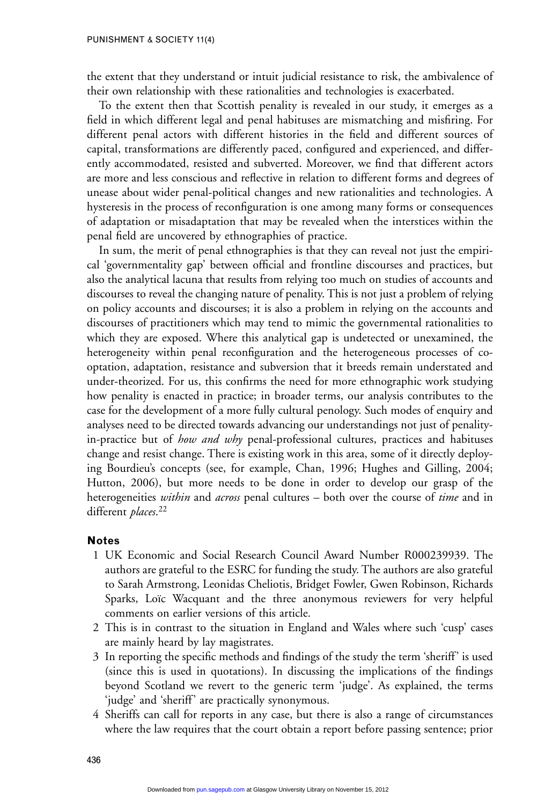the extent that they understand or intuit judicial resistance to risk, the ambivalence of their own relationship with these rationalities and technologies is exacerbated.

To the extent then that Scottish penality is revealed in our study, it emerges as a field in which different legal and penal habituses are mismatching and misfiring. For different penal actors with different histories in the field and different sources of capital, transformations are differently paced, configured and experienced, and differently accommodated, resisted and subverted. Moreover, we find that different actors are more and less conscious and reflective in relation to different forms and degrees of unease about wider penal-political changes and new rationalities and technologies. A hysteresis in the process of reconfiguration is one among many forms or consequences of adaptation or misadaptation that may be revealed when the interstices within the penal field are uncovered by ethnographies of practice.

In sum, the merit of penal ethnographies is that they can reveal not just the empirical 'governmentality gap' between official and frontline discourses and practices, but also the analytical lacuna that results from relying too much on studies of accounts and discourses to reveal the changing nature of penality. This is not just a problem of relying on policy accounts and discourses; it is also a problem in relying on the accounts and discourses of practitioners which may tend to mimic the governmental rationalities to which they are exposed. Where this analytical gap is undetected or unexamined, the heterogeneity within penal reconfiguration and the heterogeneous processes of cooptation, adaptation, resistance and subversion that it breeds remain understated and under-theorized. For us, this confirms the need for more ethnographic work studying how penality is enacted in practice; in broader terms, our analysis contributes to the case for the development of a more fully cultural penology. Such modes of enquiry and analyses need to be directed towards advancing our understandings not just of penalityin-practice but of *how and why* penal-professional cultures, practices and habituses change and resist change. There is existing work in this area, some of it directly deploying Bourdieu's concepts (see, for example, Chan, 1996; Hughes and Gilling, 2004; Hutton, 2006), but more needs to be done in order to develop our grasp of the heterogeneities *within* and *across* penal cultures – both over the course of *time* and in different *places*. 22

# **Notes**

- 1 UK Economic and Social Research Council Award Number R000239939. The authors are grateful to the ESRC for funding the study. The authors are also grateful to Sarah Armstrong, Leonidas Cheliotis, Bridget Fowler, Gwen Robinson, Richards Sparks, Loïc Wacquant and the three anonymous reviewers for very helpful comments on earlier versions of this article.
- 2 This is in contrast to the situation in England and Wales where such 'cusp' cases are mainly heard by lay magistrates.
- 3 In reporting the specific methods and findings of the study the term 'sheriff' is used (since this is used in quotations). In discussing the implications of the findings beyond Scotland we revert to the generic term 'judge'. As explained, the terms 'judge' and 'sheriff' are practically synonymous.
- 4 Sheriffs can call for reports in any case, but there is also a range of circumstances where the law requires that the court obtain a report before passing sentence; prior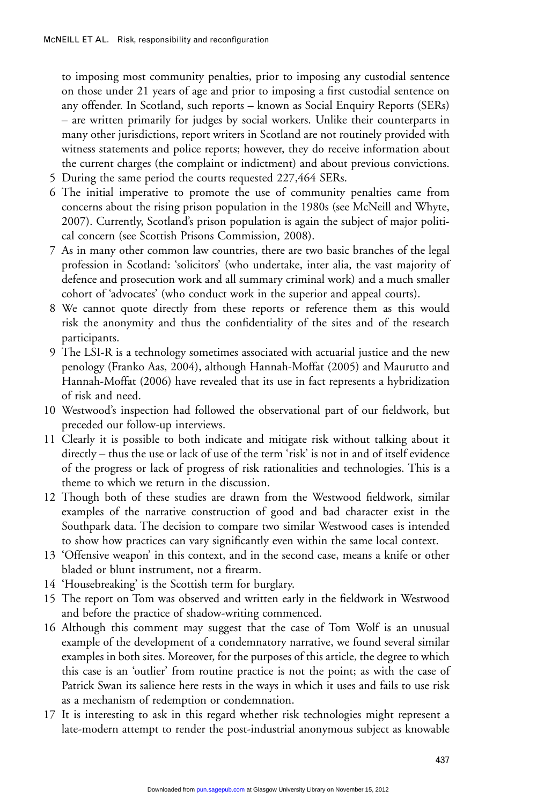to imposing most community penalties, prior to imposing any custodial sentence on those under 21 years of age and prior to imposing a first custodial sentence on any offender. In Scotland, such reports – known as Social Enquiry Reports (SERs) – are written primarily for judges by social workers. Unlike their counterparts in many other jurisdictions, report writers in Scotland are not routinely provided with witness statements and police reports; however, they do receive information about the current charges (the complaint or indictment) and about previous convictions.

- 5 During the same period the courts requested 227,464 SERs.
- 6 The initial imperative to promote the use of community penalties came from concerns about the rising prison population in the 1980s (see McNeill and Whyte, 2007). Currently, Scotland's prison population is again the subject of major political concern (see Scottish Prisons Commission, 2008).
- 7 As in many other common law countries, there are two basic branches of the legal profession in Scotland: 'solicitors' (who undertake, inter alia, the vast majority of defence and prosecution work and all summary criminal work) and a much smaller cohort of 'advocates' (who conduct work in the superior and appeal courts).
- 8 We cannot quote directly from these reports or reference them as this would risk the anonymity and thus the confidentiality of the sites and of the research participants.
- 9 The LSI-R is a technology sometimes associated with actuarial justice and the new penology (Franko Aas, 2004), although Hannah-Moffat (2005) and Maurutto and Hannah-Moffat (2006) have revealed that its use in fact represents a hybridization of risk and need.
- 10 Westwood's inspection had followed the observational part of our fieldwork, but preceded our follow-up interviews.
- 11 Clearly it is possible to both indicate and mitigate risk without talking about it directly – thus the use or lack of use of the term 'risk' is not in and of itself evidence of the progress or lack of progress of risk rationalities and technologies. This is a theme to which we return in the discussion.
- 12 Though both of these studies are drawn from the Westwood fieldwork, similar examples of the narrative construction of good and bad character exist in the Southpark data. The decision to compare two similar Westwood cases is intended to show how practices can vary significantly even within the same local context.
- 13 'Offensive weapon' in this context, and in the second case, means a knife or other bladed or blunt instrument, not a firearm.
- 14 'Housebreaking' is the Scottish term for burglary.
- 15 The report on Tom was observed and written early in the fieldwork in Westwood and before the practice of shadow-writing commenced.
- 16 Although this comment may suggest that the case of Tom Wolf is an unusual example of the development of a condemnatory narrative, we found several similar examples in both sites. Moreover, for the purposes of this article, the degree to which this case is an 'outlier' from routine practice is not the point; as with the case of Patrick Swan its salience here rests in the ways in which it uses and fails to use risk as a mechanism of redemption or condemnation.
- 17 It is interesting to ask in this regard whether risk technologies might represent a late-modern attempt to render the post-industrial anonymous subject as knowable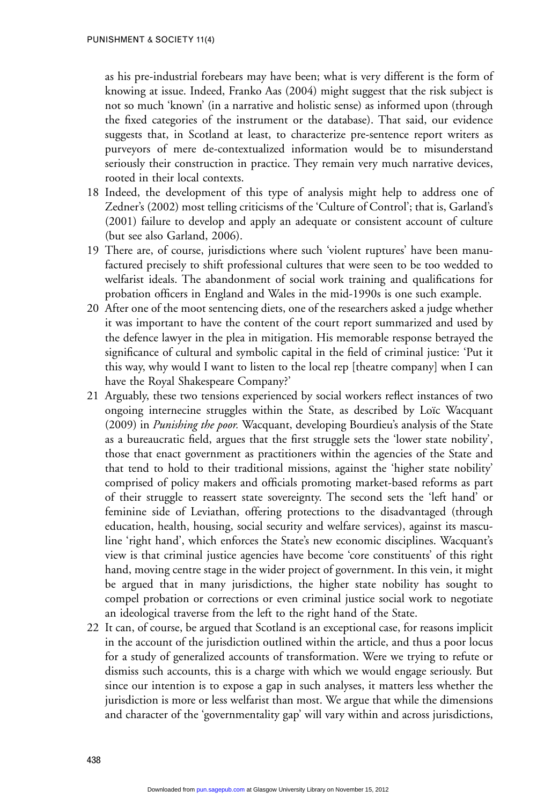as his pre-industrial forebears may have been; what is very different is the form of knowing at issue. Indeed, Franko Aas (2004) might suggest that the risk subject is not so much 'known' (in a narrative and holistic sense) as informed upon (through the fixed categories of the instrument or the database). That said, our evidence suggests that, in Scotland at least, to characterize pre-sentence report writers as purveyors of mere de-contextualized information would be to misunderstand seriously their construction in practice. They remain very much narrative devices, rooted in their local contexts.

- 18 Indeed, the development of this type of analysis might help to address one of Zedner's (2002) most telling criticisms of the 'Culture of Control'; that is, Garland's (2001) failure to develop and apply an adequate or consistent account of culture (but see also Garland, 2006).
- 19 There are, of course, jurisdictions where such 'violent ruptures' have been manufactured precisely to shift professional cultures that were seen to be too wedded to welfarist ideals. The abandonment of social work training and qualifications for probation officers in England and Wales in the mid-1990s is one such example.
- 20 After one of the moot sentencing diets, one of the researchers asked a judge whether it was important to have the content of the court report summarized and used by the defence lawyer in the plea in mitigation. His memorable response betrayed the significance of cultural and symbolic capital in the field of criminal justice: 'Put it this way, why would I want to listen to the local rep [theatre company] when I can have the Royal Shakespeare Company?'
- 21 Arguably, these two tensions experienced by social workers reflect instances of two ongoing internecine struggles within the State, as described by Loïc Wacquant (2009) in *Punishing the poor.* Wacquant, developing Bourdieu's analysis of the State as a bureaucratic field, argues that the first struggle sets the 'lower state nobility', those that enact government as practitioners within the agencies of the State and that tend to hold to their traditional missions, against the 'higher state nobility' comprised of policy makers and officials promoting market-based reforms as part of their struggle to reassert state sovereignty. The second sets the 'left hand' or feminine side of Leviathan, offering protections to the disadvantaged (through education, health, housing, social security and welfare services), against its masculine 'right hand', which enforces the State's new economic disciplines. Wacquant's view is that criminal justice agencies have become 'core constituents' of this right hand, moving centre stage in the wider project of government. In this vein, it might be argued that in many jurisdictions, the higher state nobility has sought to compel probation or corrections or even criminal justice social work to negotiate an ideological traverse from the left to the right hand of the State.
- 22 It can, of course, be argued that Scotland is an exceptional case, for reasons implicit in the account of the jurisdiction outlined within the article, and thus a poor locus for a study of generalized accounts of transformation. Were we trying to refute or dismiss such accounts, this is a charge with which we would engage seriously. But since our intention is to expose a gap in such analyses, it matters less whether the jurisdiction is more or less welfarist than most. We argue that while the dimensions and character of the 'governmentality gap' will vary within and across jurisdictions,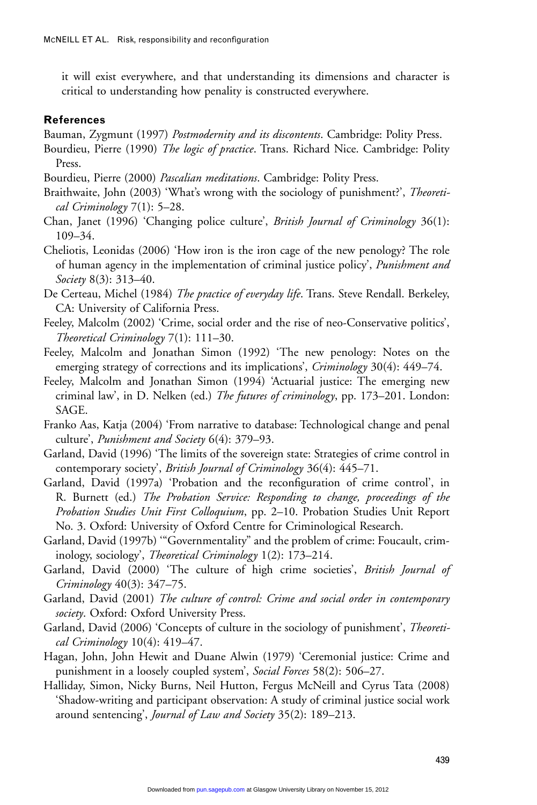it will exist everywhere, and that understanding its dimensions and character is critical to understanding how penality is constructed everywhere.

# **References**

- Bauman, Zygmunt (1997) *Postmodernity and its discontents*. Cambridge: Polity Press.
- Bourdieu, Pierre (1990) *The logic of practice*. Trans. Richard Nice. Cambridge: Polity Press.
- Bourdieu, Pierre (2000) *Pascalian meditations*. Cambridge: Polity Press.
- Braithwaite, John (2003) 'What's wrong with the sociology of punishment?', *Theoretical Criminology* 7(1): 5–28.
- Chan, Janet (1996) 'Changing police culture', *British Journal of Criminology* 36(1): 109–34.
- Cheliotis, Leonidas (2006) 'How iron is the iron cage of the new penology? The role of human agency in the implementation of criminal justice policy', *Punishment and Society* 8(3): 313–40.
- De Certeau, Michel (1984) *The practice of everyday life*. Trans. Steve Rendall. Berkeley, CA: University of California Press.
- Feeley, Malcolm (2002) 'Crime, social order and the rise of neo-Conservative politics', *Theoretical Criminology* 7(1): 111–30.
- Feeley, Malcolm and Jonathan Simon (1992) 'The new penology: Notes on the emerging strategy of corrections and its implications', *Criminology* 30(4): 449–74.
- Feeley, Malcolm and Jonathan Simon (1994) 'Actuarial justice: The emerging new criminal law', in D. Nelken (ed.) *The futures of criminology*, pp. 173–201. London: SAGE.
- Franko Aas, Katja (2004) 'From narrative to database: Technological change and penal culture', *Punishment and Society* 6(4): 379–93.
- Garland, David (1996) 'The limits of the sovereign state: Strategies of crime control in contemporary society', *British Journal of Criminology* 36(4): 445–71.
- Garland, David (1997a) 'Probation and the reconfiguration of crime control', in R. Burnett (ed.) *The Probation Service: Responding to change, proceedings of the Probation Studies Unit First Colloquium*, pp. 2–10. Probation Studies Unit Report No. 3. Oxford: University of Oxford Centre for Criminological Research.
- Garland, David (1997b) '"Governmentality" and the problem of crime: Foucault, criminology, sociology', *Theoretical Criminology* 1(2): 173–214.
- Garland, David (2000) 'The culture of high crime societies', *British Journal of Criminology* 40(3): 347–75.
- Garland, David (2001) *The culture of control: Crime and social order in contemporary society*. Oxford: Oxford University Press.
- Garland, David (2006) 'Concepts of culture in the sociology of punishment', *Theoretical Criminology* 10(4): 419–47.
- Hagan, John, John Hewit and Duane Alwin (1979) 'Ceremonial justice: Crime and punishment in a loosely coupled system', *Social Forces* 58(2): 506–27.
- Halliday, Simon, Nicky Burns, Neil Hutton, Fergus McNeill and Cyrus Tata (2008) 'Shadow-writing and participant observation: A study of criminal justice social work around sentencing', *Journal of Law and Society* 35(2): 189–213.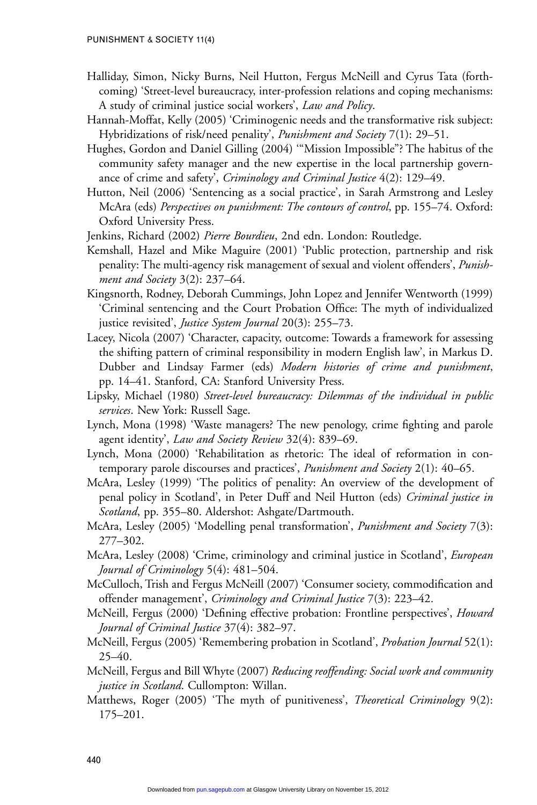- Halliday, Simon, Nicky Burns, Neil Hutton, Fergus McNeill and Cyrus Tata (forthcoming) 'Street-level bureaucracy, inter-profession relations and coping mechanisms: A study of criminal justice social workers', *Law and Policy*.
- Hannah-Moffat, Kelly (2005) 'Criminogenic needs and the transformative risk subject: Hybridizations of risk/need penality', *Punishment and Society* 7(1): 29–51.
- Hughes, Gordon and Daniel Gilling (2004) '"Mission Impossible"? The habitus of the community safety manager and the new expertise in the local partnership governance of crime and safety', *Criminology and Criminal Justice* 4(2): 129–49.
- Hutton, Neil (2006) 'Sentencing as a social practice', in Sarah Armstrong and Lesley McAra (eds) *Perspectives on punishment: The contours of control*, pp. 155–74. Oxford: Oxford University Press.

Jenkins, Richard (2002) *Pierre Bourdieu*, 2nd edn. London: Routledge.

- Kemshall, Hazel and Mike Maguire (2001) 'Public protection, partnership and risk penality: The multi-agency risk management of sexual and violent offenders', *Punishment and Society* 3(2): 237–64.
- Kingsnorth, Rodney, Deborah Cummings, John Lopez and Jennifer Wentworth (1999) 'Criminal sentencing and the Court Probation Office: The myth of individualized justice revisited', *Justice System Journal* 20(3): 255–73.
- Lacey, Nicola (2007) 'Character, capacity, outcome: Towards a framework for assessing the shifting pattern of criminal responsibility in modern English law', in Markus D. Dubber and Lindsay Farmer (eds) *Modern histories of crime and punishment*, pp. 14–41. Stanford, CA: Stanford University Press.
- Lipsky, Michael (1980) *Street-level bureaucracy: Dilemmas of the individual in public services*. New York: Russell Sage.
- Lynch, Mona (1998) 'Waste managers? The new penology, crime fighting and parole agent identity', *Law and Society Review* 32(4): 839–69.
- Lynch, Mona (2000) 'Rehabilitation as rhetoric: The ideal of reformation in contemporary parole discourses and practices', *Punishment and Society* 2(1): 40–65.
- McAra, Lesley (1999) 'The politics of penality: An overview of the development of penal policy in Scotland', in Peter Duff and Neil Hutton (eds) *Criminal justice in Scotland*, pp. 355–80. Aldershot: Ashgate/Dartmouth.
- McAra, Lesley (2005) 'Modelling penal transformation', *Punishment and Society* 7(3): 277–302.
- McAra, Lesley (2008) 'Crime, criminology and criminal justice in Scotland', *European Journal of Criminology* 5(4): 481–504.
- McCulloch, Trish and Fergus McNeill (2007) 'Consumer society, commodification and offender management', *Criminology and Criminal Justice* 7(3): 223–42.
- McNeill, Fergus (2000) 'Defining effective probation: Frontline perspectives', *Howard Journal of Criminal Justice* 37(4): 382–97.
- McNeill, Fergus (2005) 'Remembering probation in Scotland', *Probation Journal* 52(1): 25–40.
- McNeill, Fergus and Bill Whyte (2007) *Reducing reoffending: Social work and community justice in Scotland*. Cullompton: Willan.
- Matthews, Roger (2005) 'The myth of punitiveness', *Theoretical Criminology* 9(2): 175–201.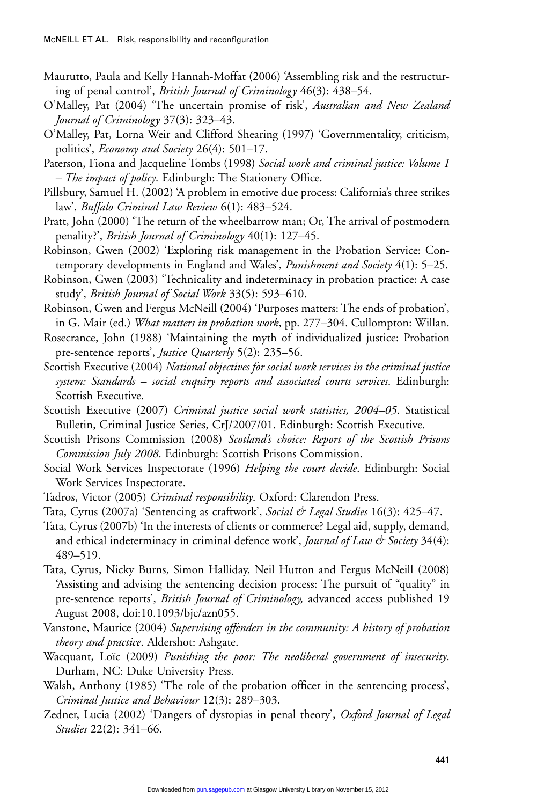- Maurutto, Paula and Kelly Hannah-Moffat (2006) 'Assembling risk and the restructuring of penal control', *British Journal of Criminology* 46(3): 438–54.
- O'Malley, Pat (2004) 'The uncertain promise of risk', *Australian and New Zealand Journal of Criminology* 37(3): 323–43.
- O'Malley, Pat, Lorna Weir and Clifford Shearing (1997) 'Governmentality, criticism, politics', *Economy and Society* 26(4): 501–17.
- Paterson, Fiona and Jacqueline Tombs (1998) *Social work and criminal justice: Volume 1 – The impact of policy*. Edinburgh: The Stationery Office.
- Pillsbury, Samuel H. (2002) 'A problem in emotive due process: California's three strikes law', *Buffalo Criminal Law Review* 6(1): 483–524.
- Pratt, John (2000) 'The return of the wheelbarrow man; Or, The arrival of postmodern penality?', *British Journal of Criminology* 40(1): 127–45.
- Robinson, Gwen (2002) 'Exploring risk management in the Probation Service: Contemporary developments in England and Wales', *Punishment and Society* 4(1): 5–25.
- Robinson, Gwen (2003) 'Technicality and indeterminacy in probation practice: A case study', *British Journal of Social Work* 33(5): 593–610.
- Robinson, Gwen and Fergus McNeill (2004) 'Purposes matters: The ends of probation', in G. Mair (ed.) *What matters in probation work*, pp. 277–304. Cullompton: Willan.
- Rosecrance, John (1988) 'Maintaining the myth of individualized justice: Probation pre-sentence reports', *Justice Quarterly* 5(2): 235–56.
- Scottish Executive (2004) *National objectives for social work services in the criminal justice system: Standards – social enquiry reports and associated courts services*. Edinburgh: Scottish Executive.
- Scottish Executive (2007) *Criminal justice social work statistics, 2004–05*. Statistical Bulletin, Criminal Justice Series, CrJ/2007/01. Edinburgh: Scottish Executive.
- Scottish Prisons Commission (2008) *Scotland's choice: Report of the Scottish Prisons Commission July 2008*. Edinburgh: Scottish Prisons Commission.
- Social Work Services Inspectorate (1996) *Helping the court decide*. Edinburgh: Social Work Services Inspectorate.
- Tadros, Victor (2005) *Criminal responsibility*. Oxford: Clarendon Press.
- Tata, Cyrus (2007a) 'Sentencing as craftwork', *Social & Legal Studies* 16(3): 425–47.
- Tata, Cyrus (2007b) 'In the interests of clients or commerce? Legal aid, supply, demand, and ethical indeterminacy in criminal defence work', *Journal of Law & Society* 34(4): 489–519.
- Tata, Cyrus, Nicky Burns, Simon Halliday, Neil Hutton and Fergus McNeill (2008) 'Assisting and advising the sentencing decision process: The pursuit of "quality" in pre-sentence reports', *British Journal of Criminology,* advanced access published 19 August 2008, doi:10.1093/bjc/azn055.
- Vanstone, Maurice (2004) *Supervising offenders in the community: A history of probation theory and practice*. Aldershot: Ashgate.
- Wacquant, Loïc (2009) *Punishing the poor: The neoliberal government of insecurity*. Durham, NC: Duke University Press.
- Walsh, Anthony (1985) 'The role of the probation officer in the sentencing process', *Criminal Justice and Behaviour* 12(3): 289–303.
- Zedner, Lucia (2002) 'Dangers of dystopias in penal theory', *Oxford Journal of Legal Studies* 22(2): 341–66.